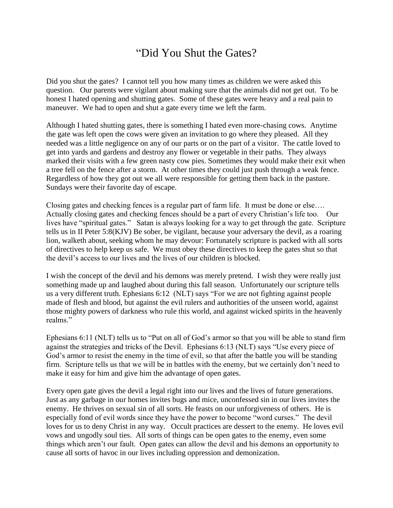## "Did You Shut the Gates?

Did you shut the gates? I cannot tell you how many times as children we were asked this question. Our parents were vigilant about making sure that the animals did not get out. To be honest I hated opening and shutting gates. Some of these gates were heavy and a real pain to maneuver. We had to open and shut a gate every time we left the farm.

Although I hated shutting gates, there is something I hated even more-chasing cows. Anytime the gate was left open the cows were given an invitation to go where they pleased. All they needed was a little negligence on any of our parts or on the part of a visitor. The cattle loved to get into yards and gardens and destroy any flower or vegetable in their paths. They always marked their visits with a few green nasty cow pies. Sometimes they would make their exit when a tree fell on the fence after a storm. At other times they could just push through a weak fence. Regardless of how they got out we all were responsible for getting them back in the pasture. Sundays were their favorite day of escape.

Closing gates and checking fences is a regular part of farm life. It must be done or else…. Actually closing gates and checking fences should be a part of every Christian's life too. Our lives have "spiritual gates." Satan is always looking for a way to get through the gate. Scripture tells us in II Peter 5:8(KJV) Be sober, be vigilant, because your adversary the devil, as a roaring lion, walketh about, seeking whom he may devour: Fortunately scripture is packed with all sorts of directives to help keep us safe. We must obey these directives to keep the gates shut so that the devil's access to our lives and the lives of our children is blocked.

I wish the concept of the devil and his demons was merely pretend. I wish they were really just something made up and laughed about during this fall season. Unfortunately our scripture tells us a very different truth. Ephesians 6:12 (NLT) says "For we are not fighting against people made of flesh and blood, but against the evil rulers and authorities of the unseen world, against those mighty powers of darkness who rule this world, and against wicked spirits in the heavenly realms."

Ephesians 6:11 (NLT) tells us to "Put on all of God's armor so that you will be able to stand firm against the strategies and tricks of the Devil. Ephesians 6:13 (NLT) says "Use every piece of God's armor to resist the enemy in the time of evil, so that after the battle you will be standing firm. Scripture tells us that we will be in battles with the enemy, but we certainly don't need to make it easy for him and give him the advantage of open gates.

Every open gate gives the devil a legal right into our lives and the lives of future generations. Just as any garbage in our homes invites bugs and mice, unconfessed sin in our lives invites the enemy. He thrives on sexual sin of all sorts. He feasts on our unforgiveness of others. He is especially fond of evil words since they have the power to become "word curses." The devil loves for us to deny Christ in any way. Occult practices are dessert to the enemy. He loves evil vows and ungodly soul ties. All sorts of things can be open gates to the enemy, even some things which aren't our fault. Open gates can allow the devil and his demons an opportunity to cause all sorts of havoc in our lives including oppression and demonization.